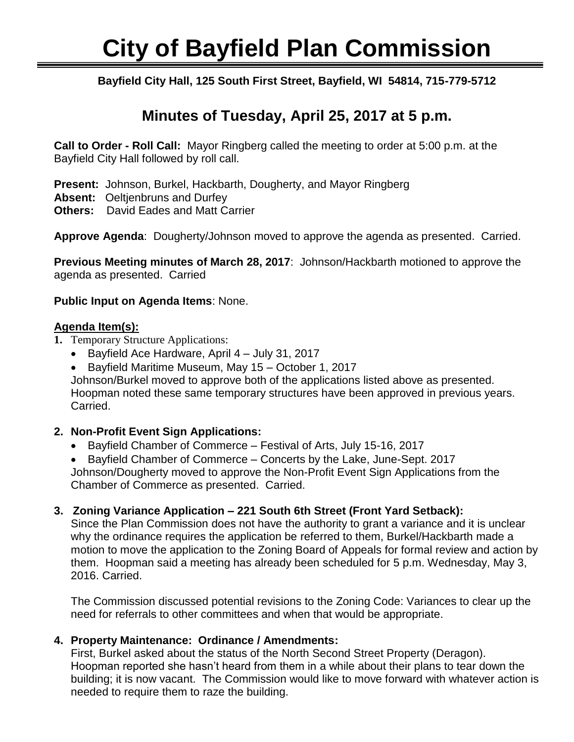# **City of Bayfield Plan Commission**

Ī **Bayfield City Hall, 125 South First Street, Bayfield, WI 54814, 715-779-5712**

## **Minutes of Tuesday, April 25, 2017 at 5 p.m.**

**Call to Order - Roll Call:** Mayor Ringberg called the meeting to order at 5:00 p.m. at the Bayfield City Hall followed by roll call.

**Present:** Johnson, Burkel, Hackbarth, Dougherty, and Mayor Ringberg

**Absent:** Oeltjenbruns and Durfey

**Others:** David Eades and Matt Carrier

**Approve Agenda**: Dougherty/Johnson moved to approve the agenda as presented. Carried.

**Previous Meeting minutes of March 28, 2017**: Johnson/Hackbarth motioned to approve the agenda as presented. Carried

#### **Public Input on Agenda Items**: None.

#### **Agenda Item(s):**

- **1.** Temporary Structure Applications:
	- Bayfield Ace Hardware, April 4 July 31, 2017
	- Bayfield Maritime Museum, May 15 October 1, 2017

Johnson/Burkel moved to approve both of the applications listed above as presented. Hoopman noted these same temporary structures have been approved in previous years. Carried.

### **2. Non-Profit Event Sign Applications:**

Bayfield Chamber of Commerce – Festival of Arts, July 15-16, 2017

 Bayfield Chamber of Commerce – Concerts by the Lake, June-Sept. 2017 Johnson/Dougherty moved to approve the Non-Profit Event Sign Applications from the Chamber of Commerce as presented. Carried.

### **3. Zoning Variance Application – 221 South 6th Street (Front Yard Setback):**

Since the Plan Commission does not have the authority to grant a variance and it is unclear why the ordinance requires the application be referred to them, Burkel/Hackbarth made a motion to move the application to the Zoning Board of Appeals for formal review and action by them. Hoopman said a meeting has already been scheduled for 5 p.m. Wednesday, May 3, 2016. Carried.

The Commission discussed potential revisions to the Zoning Code: Variances to clear up the need for referrals to other committees and when that would be appropriate.

### **4. Property Maintenance: Ordinance / Amendments:**

First, Burkel asked about the status of the North Second Street Property (Deragon). Hoopman reported she hasn't heard from them in a while about their plans to tear down the building; it is now vacant. The Commission would like to move forward with whatever action is needed to require them to raze the building.